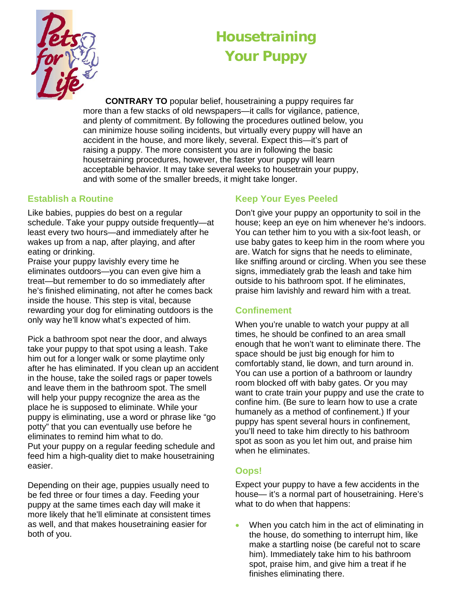

# **Housetraining Your Puppy**

**CONTRARY TO** popular belief, housetraining a puppy requires far more than a few stacks of old newspapers—it calls for vigilance, patience, and plenty of commitment. By following the procedures outlined below, you can minimize house soiling incidents, but virtually every puppy will have an accident in the house, and more likely, several. Expect this—it's part of raising a puppy. The more consistent you are in following the basic housetraining procedures, however, the faster your puppy will learn acceptable behavior. It may take several weeks to housetrain your puppy, and with some of the smaller breeds, it might take longer.

#### **Establish a Routine**

Like babies, puppies do best on a regular schedule. Take your puppy outside frequently—at least every two hours—and immediately after he wakes up from a nap, after playing, and after eating or drinking.

Praise your puppy lavishly every time he eliminates outdoors—you can even give him a treat—but remember to do so immediately after he's finished eliminating, not after he comes back inside the house. This step is vital, because rewarding your dog for eliminating outdoors is the only way he'll know what's expected of him.

Pick a bathroom spot near the door, and always take your puppy to that spot using a leash. Take him out for a longer walk or some playtime only after he has eliminated. If you clean up an accident in the house, take the soiled rags or paper towels and leave them in the bathroom spot. The smell will help your puppy recognize the area as the place he is supposed to eliminate. While your puppy is eliminating, use a word or phrase like "go potty" that you can eventually use before he eliminates to remind him what to do. Put your puppy on a regular feeding schedule and

feed him a high-quality diet to make housetraining easier.

Depending on their age, puppies usually need to be fed three or four times a day. Feeding your puppy at the same times each day will make it more likely that he'll eliminate at consistent times as well, and that makes housetraining easier for both of you.

# **Keep Your Eyes Peeled**

Don't give your puppy an opportunity to soil in the house; keep an eye on him whenever he's indoors. You can tether him to you with a six-foot leash, or use baby gates to keep him in the room where you are. Watch for signs that he needs to eliminate, like sniffing around or circling. When you see these signs, immediately grab the leash and take him outside to his bathroom spot. If he eliminates, praise him lavishly and reward him with a treat.

## **Confinement**

When you're unable to watch your puppy at all times, he should be confined to an area small enough that he won't want to eliminate there. The space should be just big enough for him to comfortably stand, lie down, and turn around in. You can use a portion of a bathroom or laundry room blocked off with baby gates. Or you may want to crate train your puppy and use the crate to confine him. (Be sure to learn how to use a crate humanely as a method of confinement.) If your puppy has spent several hours in confinement, you'll need to take him directly to his bathroom spot as soon as you let him out, and praise him when he eliminates.

## **Oops!**

Expect your puppy to have a few accidents in the house— it's a normal part of housetraining. Here's what to do when that happens:

• When you catch him in the act of eliminating in the house, do something to interrupt him, like make a startling noise (be careful not to scare him). Immediately take him to his bathroom spot, praise him, and give him a treat if he finishes eliminating there.